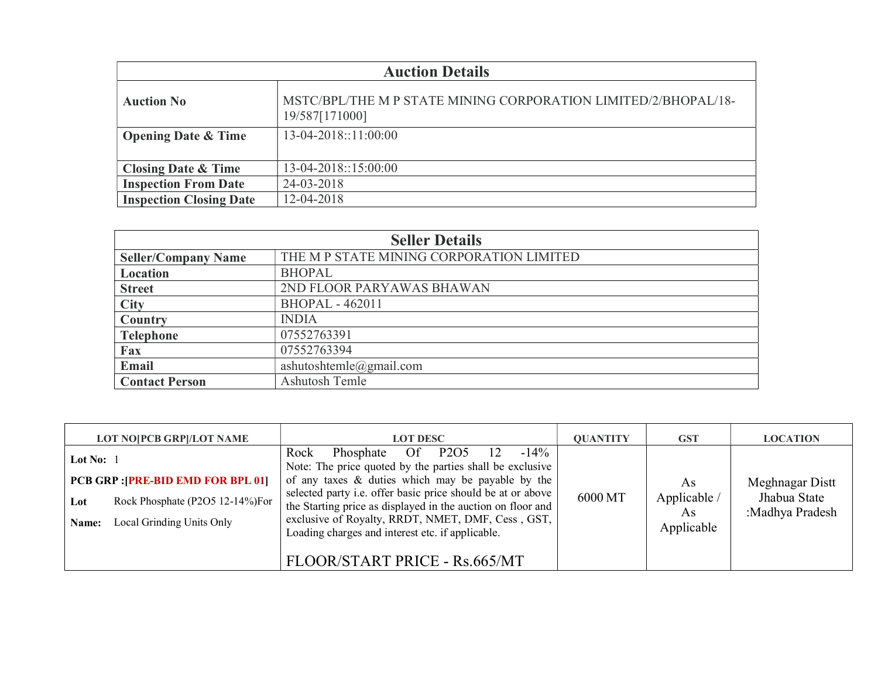| <b>Auction Details</b>         |                                                                                  |  |  |  |
|--------------------------------|----------------------------------------------------------------------------------|--|--|--|
| <b>Auction No</b>              | MSTC/BPL/THE M P STATE MINING CORPORATION LIMITED/2/BHOPAL/18-<br>19/587[171000] |  |  |  |
| <b>Opening Date &amp; Time</b> | 13-04-2018::11:00:00                                                             |  |  |  |
|                                |                                                                                  |  |  |  |
| <b>Closing Date &amp; Time</b> | $13-04-2018::15:00:00$                                                           |  |  |  |
| <b>Inspection From Date</b>    | 24-03-2018                                                                       |  |  |  |
| <b>Inspection Closing Date</b> | 12-04-2018                                                                       |  |  |  |

| <b>Seller Details</b>      |                                          |  |  |
|----------------------------|------------------------------------------|--|--|
| <b>Seller/Company Name</b> | THE M P STATE MINING CORPORATION LIMITED |  |  |
| Location                   | <b>BHOPAL</b>                            |  |  |
| <b>Street</b>              | 2ND FLOOR PARYAWAS BHAWAN                |  |  |
| <b>City</b>                | <b>BHOPAL - 462011</b>                   |  |  |
| Country                    | <b>INDIA</b>                             |  |  |
| <b>Telephone</b>           | 07552763391                              |  |  |
| Fax                        | 07552763394                              |  |  |
| Email                      | ashutoshtemle@gmail.com                  |  |  |
| <b>Contact Person</b>      | Ashutosh Temle                           |  |  |

| <b>LOT NO[PCB GRP]/LOT NAME</b>                                                                                                          | <b>LOT DESC</b>                                                                                                                                                                                                                                                                                                                                                                                                                          | <b>OUANTITY</b> | <b>GST</b>                             | <b>LOCATION</b>                                    |
|------------------------------------------------------------------------------------------------------------------------------------------|------------------------------------------------------------------------------------------------------------------------------------------------------------------------------------------------------------------------------------------------------------------------------------------------------------------------------------------------------------------------------------------------------------------------------------------|-----------------|----------------------------------------|----------------------------------------------------|
| Lot No: $1$<br><b>PCB GRP : [PRE-BID EMD FOR BPL 01]</b><br>Rock Phosphate (P2O5 12-14%)For<br>Lot<br>Local Grinding Units Only<br>Name: | $-14%$<br>Of P2O5<br>12<br>Rock<br>Phosphate<br>Note: The price quoted by the parties shall be exclusive<br>of any taxes $\&$ duties which may be payable by the<br>selected party i.e. offer basic price should be at or above<br>the Starting price as displayed in the auction on floor and<br>exclusive of Royalty, RRDT, NMET, DMF, Cess, GST,<br>Loading charges and interest etc. if applicable.<br>FLOOR/START PRICE - Rs.665/MT | 6000 MT         | As<br>Applicable /<br>As<br>Applicable | Meghnagar Distt<br>Jhabua State<br>:Madhya Pradesh |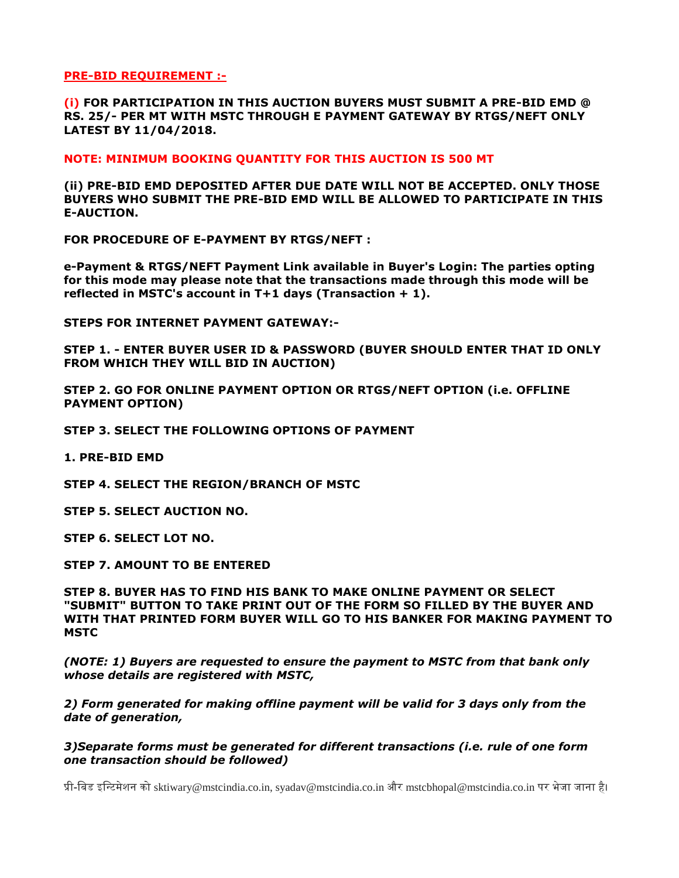**PRE-BID REQUIREMENT :-**

**(i) FOR PARTICIPATION IN THIS AUCTION BUYERS MUST SUBMIT A PRE-BID EMD @ RS. 25/- PER MT WITH MSTC THROUGH E PAYMENT GATEWAY BY RTGS/NEFT ONLY LATEST BY 11/04/2018.**

**NOTE: MINIMUM BOOKING QUANTITY FOR THIS AUCTION IS 500 MT**

**(ii) PRE-BID EMD DEPOSITED AFTER DUE DATE WILL NOT BE ACCEPTED. ONLY THOSE BUYERS WHO SUBMIT THE PRE-BID EMD WILL BE ALLOWED TO PARTICIPATE IN THIS E-AUCTION.**

**FOR PROCEDURE OF E-PAYMENT BY RTGS/NEFT :**

**e-Payment & RTGS/NEFT Payment Link available in Buyer's Login: The parties opting for this mode may please note that the transactions made through this mode will be reflected in MSTC's account in T+1 days (Transaction + 1).** 

**STEPS FOR INTERNET PAYMENT GATEWAY:-**

**STEP 1. - ENTER BUYER USER ID & PASSWORD (BUYER SHOULD ENTER THAT ID ONLY FROM WHICH THEY WILL BID IN AUCTION)**

**STEP 2. GO FOR ONLINE PAYMENT OPTION OR RTGS/NEFT OPTION (i.e. OFFLINE PAYMENT OPTION)**

**STEP 3. SELECT THE FOLLOWING OPTIONS OF PAYMENT**

**1. PRE-BID EMD**

**STEP 4. SELECT THE REGION/BRANCH OF MSTC**

**STEP 5. SELECT AUCTION NO.**

**STEP 6. SELECT LOT NO.**

**STEP 7. AMOUNT TO BE ENTERED**

**STEP 8. BUYER HAS TO FIND HIS BANK TO MAKE ONLINE PAYMENT OR SELECT "SUBMIT" BUTTON TO TAKE PRINT OUT OF THE FORM SO FILLED BY THE BUYER AND WITH THAT PRINTED FORM BUYER WILL GO TO HIS BANKER FOR MAKING PAYMENT TO MSTC** 

*(NOTE: 1) Buyers are requested to ensure the payment to MSTC from that bank only whose details are registered with MSTC,* 

*2) Form generated for making offline payment will be valid for 3 days only from the date of generation,* 

*3)Separate forms must be generated for different transactions (i.e. rule of one form one transaction should be followed)*

प्री-बिड इबटिमेशन को sktiwary@mstcindia.co.in, syadav@mstcindia.co.in और mstcbhopal@mstcindia.co.in पर भेजा जाना है।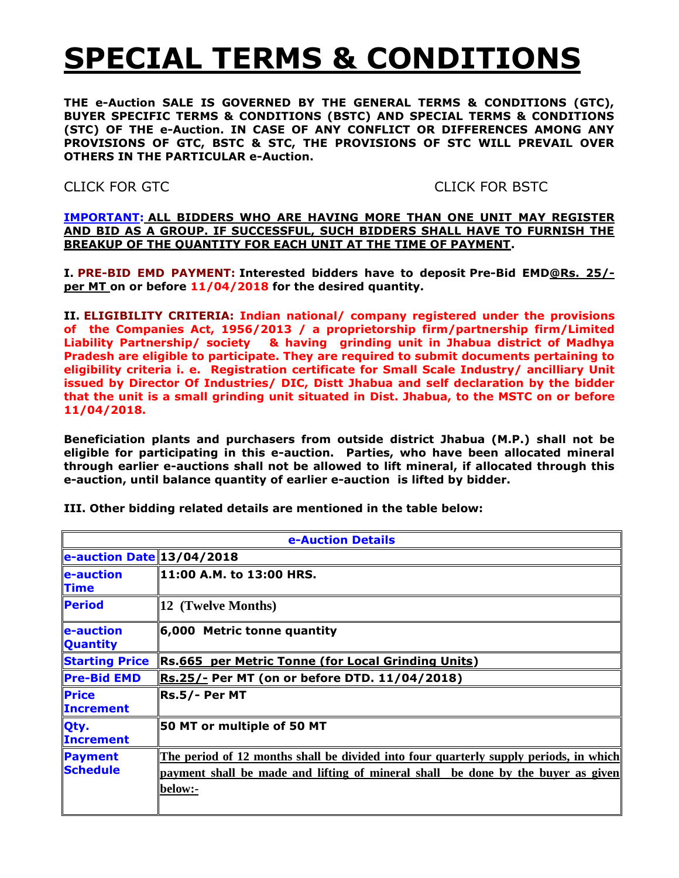# **SPECIAL TERMS & CONDITIONS**

**THE e-Auction SALE IS GOVERNED BY THE GENERAL TERMS & CONDITIONS (GTC), BUYER SPECIFIC TERMS & CONDITIONS (BSTC) AND SPECIAL TERMS & CONDITIONS (STC) OF THE e-Auction. IN CASE OF ANY CONFLICT OR DIFFERENCES AMONG ANY PROVISIONS OF GTC, BSTC & STC, THE PROVISIONS OF STC WILL PREVAIL OVER OTHERS IN THE PARTICULAR e-Auction.**

CLICK FOR GTCCLICK FOR BSTC

**IMPORTANT: ALL BIDDERS WHO ARE HAVING MORE THAN ONE UNIT MAY REGISTER AND BID AS A GROUP. IF SUCCESSFUL, SUCH BIDDERS SHALL HAVE TO FURNISH THE BREAKUP OF THE QUANTITY FOR EACH UNIT AT THE TIME OF PAYMENT.**

**I. PRE-BID EMD PAYMENT: Interested bidders have to deposit Pre-Bid EMD@Rs. 25/ per MT on or before 11/04/2018 for the desired quantity.**

**II. ELIGIBILITY CRITERIA: Indian national/ company registered under the provisions of the Companies Act, 1956/2013 / a proprietorship firm/partnership firm/Limited Liability Partnership/ society & having grinding unit in Jhabua district of Madhya Pradesh are eligible to participate. They are required to submit documents pertaining to eligibility criteria i. e. Registration certificate for Small Scale Industry/ ancilliary Unit issued by Director Of Industries/ DIC, Distt Jhabua and self declaration by the bidder that the unit is a small grinding unit situated in Dist. Jhabua, to the MSTC on or before 11/04/2018.**

**Beneficiation plants and purchasers from outside district Jhabua (M.P.) shall not be eligible for participating in this e-auction. Parties, who have been allocated mineral through earlier e-auctions shall not be allowed to lift mineral, if allocated through this e-auction, until balance quantity of earlier e-auction is lifted by bidder.**

| e-Auction Details                |                                                                                                                                                                                      |  |  |
|----------------------------------|--------------------------------------------------------------------------------------------------------------------------------------------------------------------------------------|--|--|
| e-auction Date 13/04/2018        |                                                                                                                                                                                      |  |  |
| e-auction<br><b>Time</b>         | 11:00 A.M. to 13:00 HRS.                                                                                                                                                             |  |  |
| <b>Period</b>                    | 12 (Twelve Months)                                                                                                                                                                   |  |  |
| e-auction<br><b>Quantity</b>     | 6,000 Metric tonne quantity                                                                                                                                                          |  |  |
| <b>Starting Price</b>            | Rs.665 per Metric Tonne (for Local Grinding Units)                                                                                                                                   |  |  |
| <b>Pre-Bid EMD</b>               | <b>Rs.25/- Per MT (on or before DTD. 11/04/2018)</b>                                                                                                                                 |  |  |
| <b>Price</b><br><b>Increment</b> | Rs.5/- Per MT                                                                                                                                                                        |  |  |
| Qty.<br><b>Increment</b>         | 50 MT or multiple of 50 MT                                                                                                                                                           |  |  |
| Payment<br>Schedule              | The period of 12 months shall be divided into four quarterly supply periods, in which<br>payment shall be made and lifting of mineral shall be done by the buyer as given<br>below:- |  |  |

**III. Other bidding related details are mentioned in the table below:**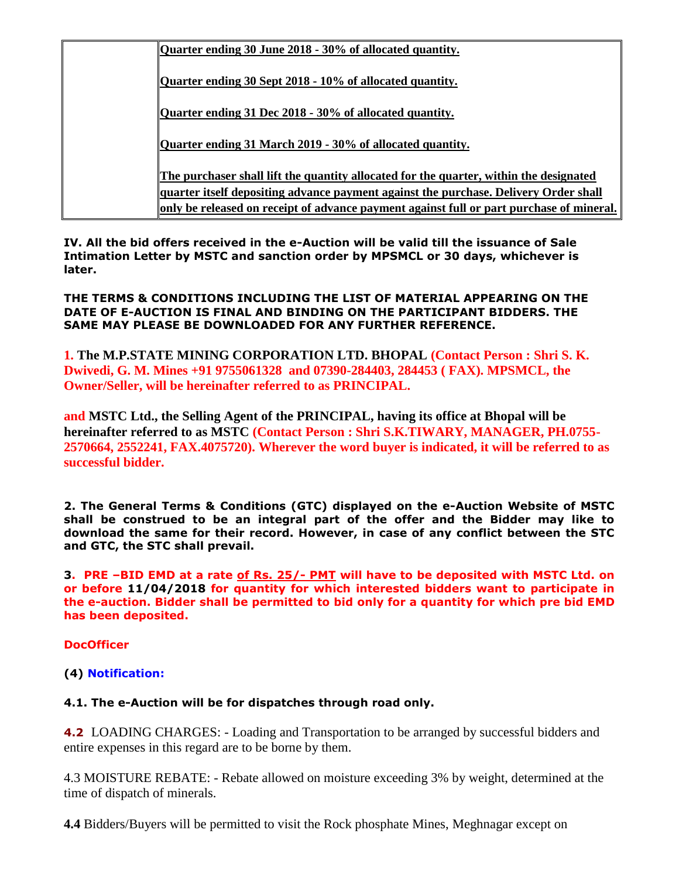| Quarter ending 30 June 2018 - 30% of allocated quantity.                                 |
|------------------------------------------------------------------------------------------|
| Quarter ending 30 Sept 2018 - 10% of allocated quantity.                                 |
| Ouarter ending 31 Dec 2018 - 30% of allocated quantity.                                  |
| Quarter ending 31 March 2019 - 30% of allocated quantity.                                |
| The purchaser shall lift the quantity allocated for the quarter, within the designated   |
| quarter itself depositing advance payment against the purchase. Delivery Order shall     |
| only be released on receipt of advance payment against full or part purchase of mineral. |

**IV. All the bid offers received in the e-Auction will be valid till the issuance of Sale Intimation Letter by MSTC and sanction order by MPSMCL or 30 days, whichever is later.**

#### **THE TERMS & CONDITIONS INCLUDING THE LIST OF MATERIAL APPEARING ON THE DATE OF E-AUCTION IS FINAL AND BINDING ON THE PARTICIPANT BIDDERS. THE SAME MAY PLEASE BE DOWNLOADED FOR ANY FURTHER REFERENCE.**

**1. The M.P.STATE MINING CORPORATION LTD. BHOPAL (Contact Person : Shri S. K. Dwivedi, G. M. Mines +91 9755061328 and 07390-284403, 284453 ( FAX). MPSMCL, the Owner/Seller, will be hereinafter referred to as PRINCIPAL.**

**and MSTC Ltd., the Selling Agent of the PRINCIPAL, having its office at Bhopal will be hereinafter referred to as MSTC (Contact Person : Shri S.K.TIWARY, MANAGER, PH.0755- 2570664, 2552241, FAX.4075720). Wherever the word buyer is indicated, it will be referred to as successful bidder.**

**2. The General Terms & Conditions (GTC) displayed on the e-Auction Website of MSTC shall be construed to be an integral part of the offer and the Bidder may like to download the same for their record. However, in case of any conflict between the STC and GTC, the STC shall prevail.**

**3. PRE –BID EMD at a rate of Rs. 25/- PMT will have to be deposited with MSTC Ltd. on or before 11/04/2018 for quantity for which interested bidders want to participate in the e-auction. Bidder shall be permitted to bid only for a quantity for which pre bid EMD has been deposited.** 

**DocOfficer**

**(4) Notification:**

## **4.1. The e-Auction will be for dispatches through road only.**

**4.2** LOADING CHARGES: - Loading and Transportation to be arranged by successful bidders and entire expenses in this regard are to be borne by them.

4.3 MOISTURE REBATE: - Rebate allowed on moisture exceeding 3% by weight, determined at the time of dispatch of minerals.

**4.4** Bidders/Buyers will be permitted to visit the Rock phosphate Mines, Meghnagar except on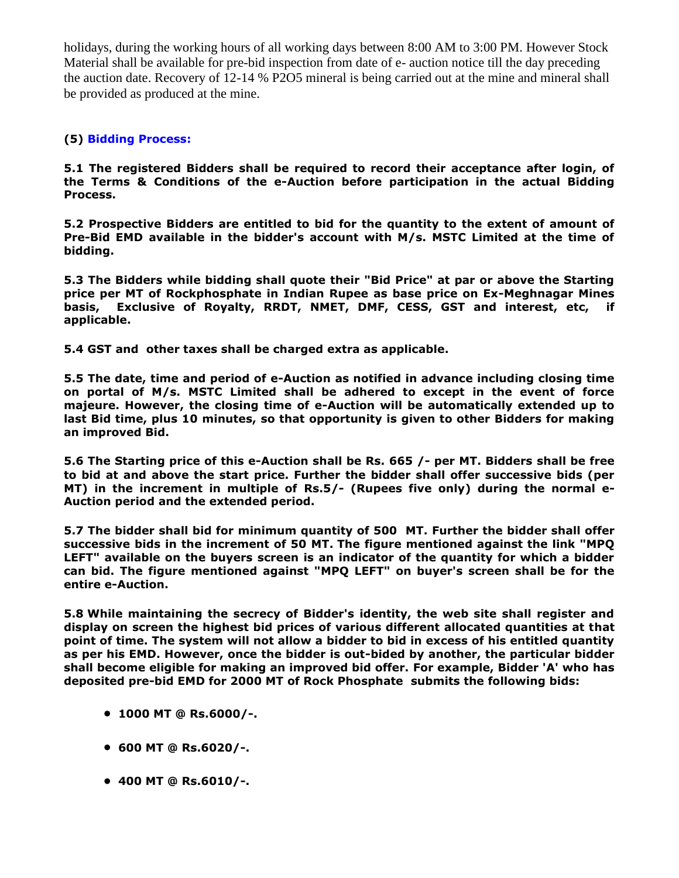holidays, during the working hours of all working days between 8:00 AM to 3:00 PM. However Stock Material shall be available for pre-bid inspection from date of e- auction notice till the day preceding the auction date. Recovery of 12-14 % P2O5 mineral is being carried out at the mine and mineral shall be provided as produced at the mine.

## **(5) Bidding Process:**

**5.1 The registered Bidders shall be required to record their acceptance after login, of the Terms & Conditions of the e-Auction before participation in the actual Bidding Process.**

**5.2 Prospective Bidders are entitled to bid for the quantity to the extent of amount of Pre-Bid EMD available in the bidder's account with M/s. MSTC Limited at the time of bidding.**

**5.3 The Bidders while bidding shall quote their "Bid Price" at par or above the Starting price per MT of Rockphosphate in Indian Rupee as base price on Ex-Meghnagar Mines basis, Exclusive of Royalty, RRDT, NMET, DMF, CESS, GST and interest, etc, if applicable.**

**5.4 GST and other taxes shall be charged extra as applicable.**

**5.5 The date, time and period of e-Auction as notified in advance including closing time on portal of M/s. MSTC Limited shall be adhered to except in the event of force majeure. However, the closing time of e-Auction will be automatically extended up to last Bid time, plus 10 minutes, so that opportunity is given to other Bidders for making an improved Bid.**

**5.6 The Starting price of this e-Auction shall be Rs. 665 /- per MT. Bidders shall be free to bid at and above the start price. Further the bidder shall offer successive bids (per MT) in the increment in multiple of Rs.5/- (Rupees five only) during the normal e-Auction period and the extended period.**

**5.7 The bidder shall bid for minimum quantity of 500 MT. Further the bidder shall offer successive bids in the increment of 50 MT. The figure mentioned against the link "MPQ LEFT" available on the buyers screen is an indicator of the quantity for which a bidder can bid. The figure mentioned against "MPQ LEFT" on buyer's screen shall be for the entire e-Auction.** 

**5.8 While maintaining the secrecy of Bidder's identity, the web site shall register and display on screen the highest bid prices of various different allocated quantities at that point of time. The system will not allow a bidder to bid in excess of his entitled quantity as per his EMD. However, once the bidder is out-bided by another, the particular bidder shall become eligible for making an improved bid offer. For example, Bidder 'A' who has deposited pre-bid EMD for 2000 MT of Rock Phosphate submits the following bids:**

- **1000 MT @ Rs.6000/-.**
- **600 MT @ Rs.6020/-.**
- **400 MT @ Rs.6010/-.**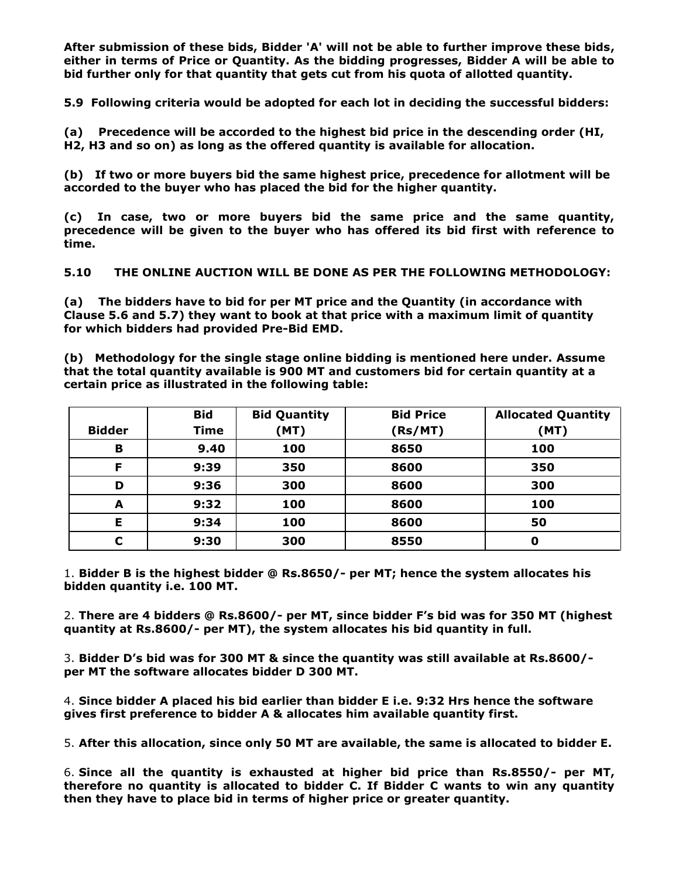**After submission of these bids, Bidder 'A' will not be able to further improve these bids, either in terms of Price or Quantity. As the bidding progresses, Bidder A will be able to bid further only for that quantity that gets cut from his quota of allotted quantity.**

**5.9 Following criteria would be adopted for each lot in deciding the successful bidders:**

**(a) Precedence will be accorded to the highest bid price in the descending order (HI, H2, H3 and so on) as long as the offered quantity is available for allocation.**

**(b) If two or more buyers bid the same highest price, precedence for allotment will be accorded to the buyer who has placed the bid for the higher quantity.**

**(c) In case, two or more buyers bid the same price and the same quantity, precedence will be given to the buyer who has offered its bid first with reference to time.**

**5.10 THE ONLINE AUCTION WILL BE DONE AS PER THE FOLLOWING METHODOLOGY:**

**(a) The bidders have to bid for per MT price and the Quantity (in accordance with Clause 5.6 and 5.7) they want to book at that price with a maximum limit of quantity for which bidders had provided Pre-Bid EMD.**

**(b) Methodology for the single stage online bidding is mentioned here under. Assume that the total quantity available is 900 MT and customers bid for certain quantity at a certain price as illustrated in the following table:**

|               | <b>Bid</b>  | <b>Bid Quantity</b> | <b>Bid Price</b> | <b>Allocated Quantity</b> |
|---------------|-------------|---------------------|------------------|---------------------------|
| <b>Bidder</b> | <b>Time</b> | (MT)                | (Rs/MT)          | (MT)                      |
| B             | 9.40        | 100                 | 8650             | 100                       |
| F             | 9:39        | 350                 | 8600             | 350                       |
| D             | 9:36        | 300                 | 8600             | 300                       |
| A             | 9:32        | 100                 | 8600             | 100                       |
| E             | 9:34        | 100                 | 8600             | 50                        |
| C             | 9:30        | 300                 | 8550             | 0                         |

1. **Bidder B is the highest bidder @ Rs.8650/- per MT; hence the system allocates his bidden quantity i.e. 100 MT.**

2. **There are 4 bidders @ Rs.8600/- per MT, since bidder F's bid was for 350 MT (highest quantity at Rs.8600/- per MT), the system allocates his bid quantity in full.**

3. **Bidder D's bid was for 300 MT & since the quantity was still available at Rs.8600/ per MT the software allocates bidder D 300 MT.**

4. **Since bidder A placed his bid earlier than bidder E i.e. 9:32 Hrs hence the software gives first preference to bidder A & allocates him available quantity first.**

5. **After this allocation, since only 50 MT are available, the same is allocated to bidder E.**

6. **Since all the quantity is exhausted at higher bid price than Rs.8550/- per MT, therefore no quantity is allocated to bidder C. If Bidder C wants to win any quantity then they have to place bid in terms of higher price or greater quantity.**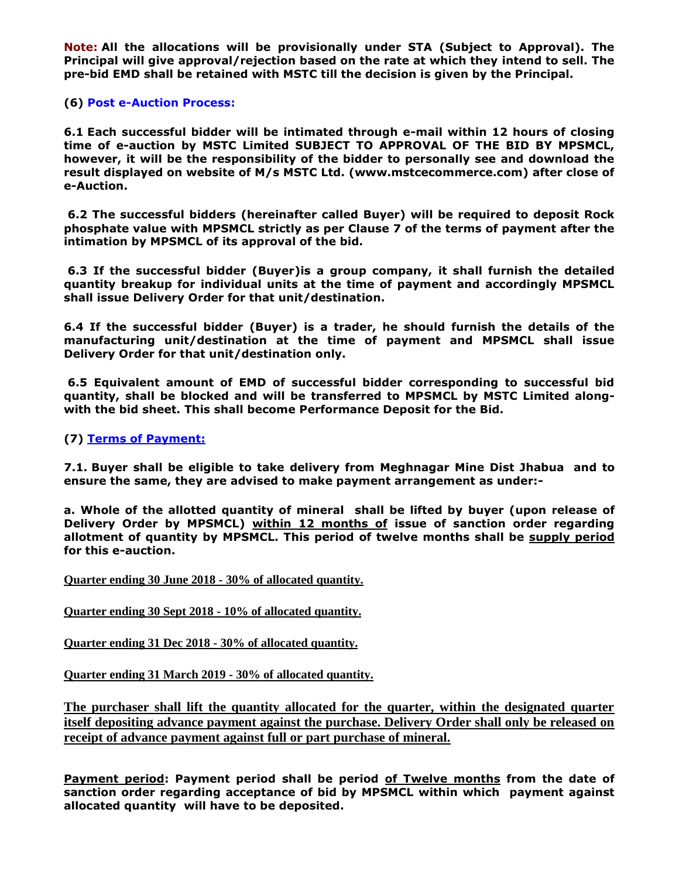**Note: All the allocations will be provisionally under STA (Subject to Approval). The Principal will give approval/rejection based on the rate at which they intend to sell. The pre-bid EMD shall be retained with MSTC till the decision is given by the Principal.**

## **(6) Post e-Auction Process:**

**6.1 Each successful bidder will be intimated through e-mail within 12 hours of closing time of e-auction by MSTC Limited SUBJECT TO APPROVAL OF THE BID BY MPSMCL, however, it will be the responsibility of the bidder to personally see and download the result displayed on website of M/s MSTC Ltd. (www.mstcecommerce.com) after close of e-Auction.**

**6.2 The successful bidders (hereinafter called Buyer) will be required to deposit Rock phosphate value with MPSMCL strictly as per Clause 7 of the terms of payment after the intimation by MPSMCL of its approval of the bid.**

**6.3 If the successful bidder (Buyer)is a group company, it shall furnish the detailed quantity breakup for individual units at the time of payment and accordingly MPSMCL shall issue Delivery Order for that unit/destination.**

**6.4 If the successful bidder (Buyer) is a trader, he should furnish the details of the manufacturing unit/destination at the time of payment and MPSMCL shall issue Delivery Order for that unit/destination only.**

**6.5 Equivalent amount of EMD of successful bidder corresponding to successful bid quantity, shall be blocked and will be transferred to MPSMCL by MSTC Limited alongwith the bid sheet. This shall become Performance Deposit for the Bid.**

**(7) Terms of Payment:**

**7.1. Buyer shall be eligible to take delivery from Meghnagar Mine Dist Jhabua and to ensure the same, they are advised to make payment arrangement as under:-**

**a. Whole of the allotted quantity of mineral shall be lifted by buyer (upon release of Delivery Order by MPSMCL) within 12 months of issue of sanction order regarding allotment of quantity by MPSMCL. This period of twelve months shall be supply period for this e-auction.**

**Quarter ending 30 June 2018 - 30% of allocated quantity.**

**Quarter ending 30 Sept 2018 - 10% of allocated quantity.**

**Quarter ending 31 Dec 2018 - 30% of allocated quantity.**

**Quarter ending 31 March 2019 - 30% of allocated quantity.**

**The purchaser shall lift the quantity allocated for the quarter, within the designated quarter itself depositing advance payment against the purchase. Delivery Order shall only be released on receipt of advance payment against full or part purchase of mineral.**

**Payment period: Payment period shall be period of Twelve months from the date of sanction order regarding acceptance of bid by MPSMCL within which payment against allocated quantity will have to be deposited.**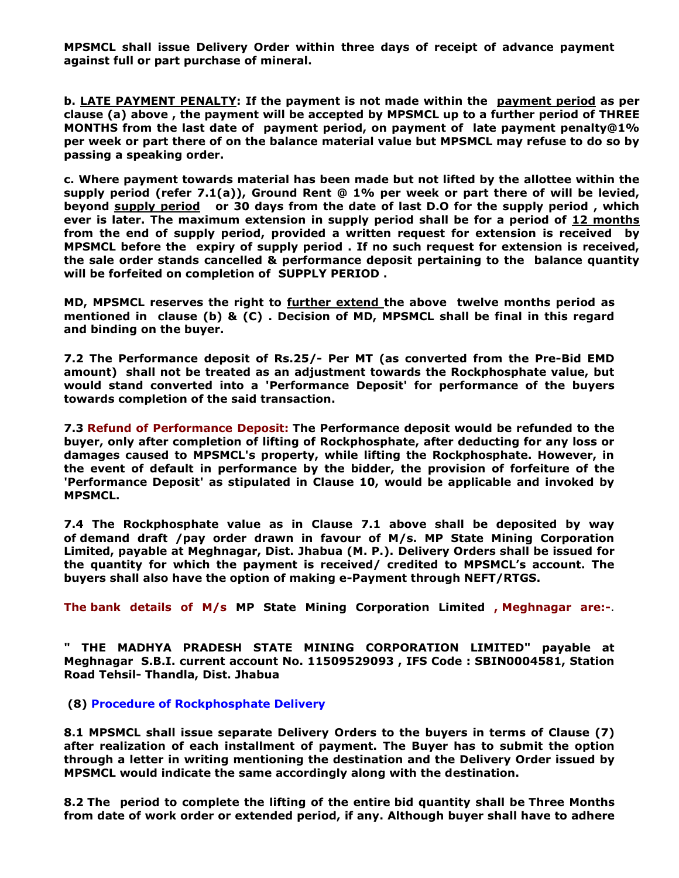**MPSMCL shall issue Delivery Order within three days of receipt of advance payment against full or part purchase of mineral.** 

**b. LATE PAYMENT PENALTY: If the payment is not made within the payment period as per clause (a) above , the payment will be accepted by MPSMCL up to a further period of THREE MONTHS from the last date of payment period, on payment of late payment penalty@1% per week or part there of on the balance material value but MPSMCL may refuse to do so by passing a speaking order.**

**c. Where payment towards material has been made but not lifted by the allottee within the supply period (refer 7.1(a)), Ground Rent @ 1% per week or part there of will be levied, beyond supply period or 30 days from the date of last D.O for the supply period , which ever is later. The maximum extension in supply period shall be for a period of 12 months from the end of supply period, provided a written request for extension is received by MPSMCL before the expiry of supply period . If no such request for extension is received, the sale order stands cancelled & performance deposit pertaining to the balance quantity will be forfeited on completion of SUPPLY PERIOD .**

**MD, MPSMCL reserves the right to further extend the above twelve months period as mentioned in clause (b) & (C) . Decision of MD, MPSMCL shall be final in this regard and binding on the buyer.**

**7.2 The Performance deposit of Rs.25/- Per MT (as converted from the Pre-Bid EMD amount) shall not be treated as an adjustment towards the Rockphosphate value, but would stand converted into a 'Performance Deposit' for performance of the buyers towards completion of the said transaction.**

**7.3 Refund of Performance Deposit: The Performance deposit would be refunded to the buyer, only after completion of lifting of Rockphosphate, after deducting for any loss or damages caused to MPSMCL's property, while lifting the Rockphosphate. However, in the event of default in performance by the bidder, the provision of forfeiture of the 'Performance Deposit' as stipulated in Clause 10, would be applicable and invoked by MPSMCL.**

**7.4 The Rockphosphate value as in Clause 7.1 above shall be deposited by way of demand draft /pay order drawn in favour of M/s. MP State Mining Corporation Limited, payable at Meghnagar, Dist. Jhabua (M. P.). Delivery Orders shall be issued for the quantity for which the payment is received/ credited to MPSMCL's account. The buyers shall also have the option of making e-Payment through NEFT/RTGS.**

**The bank details of M/s MP State Mining Corporation Limited , Meghnagar are:-**.

**" THE MADHYA PRADESH STATE MINING CORPORATION LIMITED" payable at Meghnagar S.B.I. current account No. 11509529093 , IFS Code : SBIN0004581, Station Road Tehsil- Thandla, Dist. Jhabua**

**(8) Procedure of Rockphosphate Delivery**

**8.1 MPSMCL shall issue separate Delivery Orders to the buyers in terms of Clause (7) after realization of each installment of payment. The Buyer has to submit the option through a letter in writing mentioning the destination and the Delivery Order issued by MPSMCL would indicate the same accordingly along with the destination.**

**8.2 The period to complete the lifting of the entire bid quantity shall be Three Months from date of work order or extended period, if any. Although buyer shall have to adhere**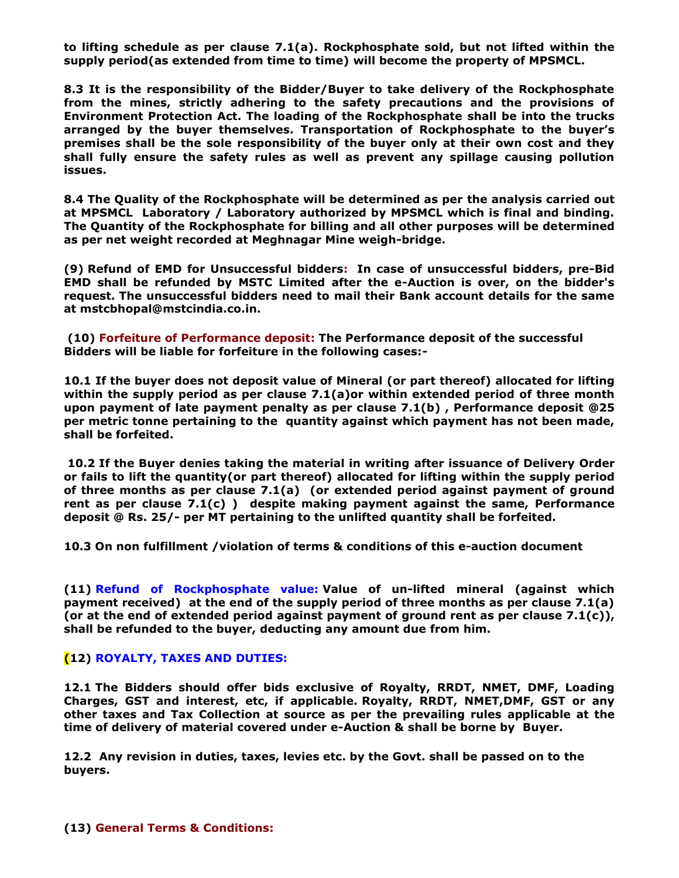**to lifting schedule as per clause 7.1(a). Rockphosphate sold, but not lifted within the supply period(as extended from time to time) will become the property of MPSMCL.**

**8.3 It is the responsibility of the Bidder/Buyer to take delivery of the Rockphosphate from the mines, strictly adhering to the safety precautions and the provisions of Environment Protection Act. The loading of the Rockphosphate shall be into the trucks arranged by the buyer themselves. Transportation of Rockphosphate to the buyer's premises shall be the sole responsibility of the buyer only at their own cost and they shall fully ensure the safety rules as well as prevent any spillage causing pollution issues.**

**8.4 The Quality of the Rockphosphate will be determined as per the analysis carried out at MPSMCL Laboratory / Laboratory authorized by MPSMCL which is final and binding. The Quantity of the Rockphosphate for billing and all other purposes will be determined as per net weight recorded at Meghnagar Mine weigh-bridge.**

**(9) Refund of EMD for Unsuccessful bidders: In case of unsuccessful bidders, pre-Bid EMD shall be refunded by MSTC Limited after the e-Auction is over, on the bidder's request. The unsuccessful bidders need to mail their Bank account details for the same at mstcbhopal@mstcindia.co.in.**

**(10) Forfeiture of Performance deposit: The Performance deposit of the successful Bidders will be liable for forfeiture in the following cases:-**

**10.1 If the buyer does not deposit value of Mineral (or part thereof) allocated for lifting within the supply period as per clause 7.1(a)or within extended period of three month upon payment of late payment penalty as per clause 7.1(b) , Performance deposit @25 per metric tonne pertaining to the quantity against which payment has not been made, shall be forfeited.** 

**10.2 If the Buyer denies taking the material in writing after issuance of Delivery Order or fails to lift the quantity(or part thereof) allocated for lifting within the supply period of three months as per clause 7.1(a) (or extended period against payment of ground rent as per clause 7.1(c) ) despite making payment against the same, Performance deposit @ Rs. 25/- per MT pertaining to the unlifted quantity shall be forfeited.**

**10.3 On non fulfillment /violation of terms & conditions of this e-auction document** 

**(11) Refund of Rockphosphate value: Value of un-lifted mineral (against which payment received) at the end of the supply period of three months as per clause 7.1(a) (or at the end of extended period against payment of ground rent as per clause 7.1(c)), shall be refunded to the buyer, deducting any amount due from him.** 

### **(12) ROYALTY, TAXES AND DUTIES:**

**12.1 The Bidders should offer bids exclusive of Royalty, RRDT, NMET, DMF, Loading Charges, GST and interest, etc, if applicable. Royalty, RRDT, NMET,DMF, GST or any other taxes and Tax Collection at source as per the prevailing rules applicable at the time of delivery of material covered under e-Auction & shall be borne by Buyer.**

**12.2 Any revision in duties, taxes, levies etc. by the Govt. shall be passed on to the buyers.**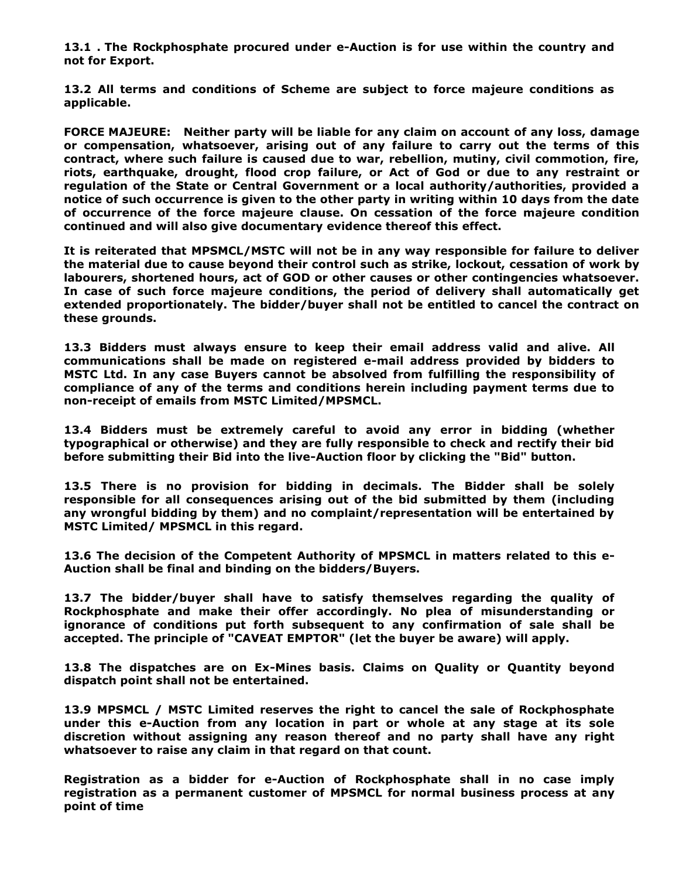**13.1 . The Rockphosphate procured under e-Auction is for use within the country and not for Export.**

**13.2 All terms and conditions of Scheme are subject to force majeure conditions as applicable.**

**FORCE MAJEURE: Neither party will be liable for any claim on account of any loss, damage or compensation, whatsoever, arising out of any failure to carry out the terms of this contract, where such failure is caused due to war, rebellion, mutiny, civil commotion, fire, riots, earthquake, drought, flood crop failure, or Act of God or due to any restraint or regulation of the State or Central Government or a local authority/authorities, provided a notice of such occurrence is given to the other party in writing within 10 days from the date of occurrence of the force majeure clause. On cessation of the force majeure condition continued and will also give documentary evidence thereof this effect.**

**It is reiterated that MPSMCL/MSTC will not be in any way responsible for failure to deliver the material due to cause beyond their control such as strike, lockout, cessation of work by labourers, shortened hours, act of GOD or other causes or other contingencies whatsoever. In case of such force majeure conditions, the period of delivery shall automatically get extended proportionately. The bidder/buyer shall not be entitled to cancel the contract on these grounds.**

**13.3 Bidders must always ensure to keep their email address valid and alive. All communications shall be made on registered e-mail address provided by bidders to MSTC Ltd. In any case Buyers cannot be absolved from fulfilling the responsibility of compliance of any of the terms and conditions herein including payment terms due to non-receipt of emails from MSTC Limited/MPSMCL.**

**13.4 Bidders must be extremely careful to avoid any error in bidding (whether typographical or otherwise) and they are fully responsible to check and rectify their bid before submitting their Bid into the live-Auction floor by clicking the "Bid" button.**

**13.5 There is no provision for bidding in decimals. The Bidder shall be solely responsible for all consequences arising out of the bid submitted by them (including any wrongful bidding by them) and no complaint/representation will be entertained by MSTC Limited/ MPSMCL in this regard.**

**13.6 The decision of the Competent Authority of MPSMCL in matters related to this e-Auction shall be final and binding on the bidders/Buyers.**

**13.7 The bidder/buyer shall have to satisfy themselves regarding the quality of Rockphosphate and make their offer accordingly. No plea of misunderstanding or ignorance of conditions put forth subsequent to any confirmation of sale shall be accepted. The principle of "CAVEAT EMPTOR" (let the buyer be aware) will apply.**

**13.8 The dispatches are on Ex-Mines basis. Claims on Quality or Quantity beyond dispatch point shall not be entertained.**

**13.9 MPSMCL / MSTC Limited reserves the right to cancel the sale of Rockphosphate under this e-Auction from any location in part or whole at any stage at its sole discretion without assigning any reason thereof and no party shall have any right whatsoever to raise any claim in that regard on that count.**

**Registration as a bidder for e-Auction of Rockphosphate shall in no case imply registration as a permanent customer of MPSMCL for normal business process at any point of time**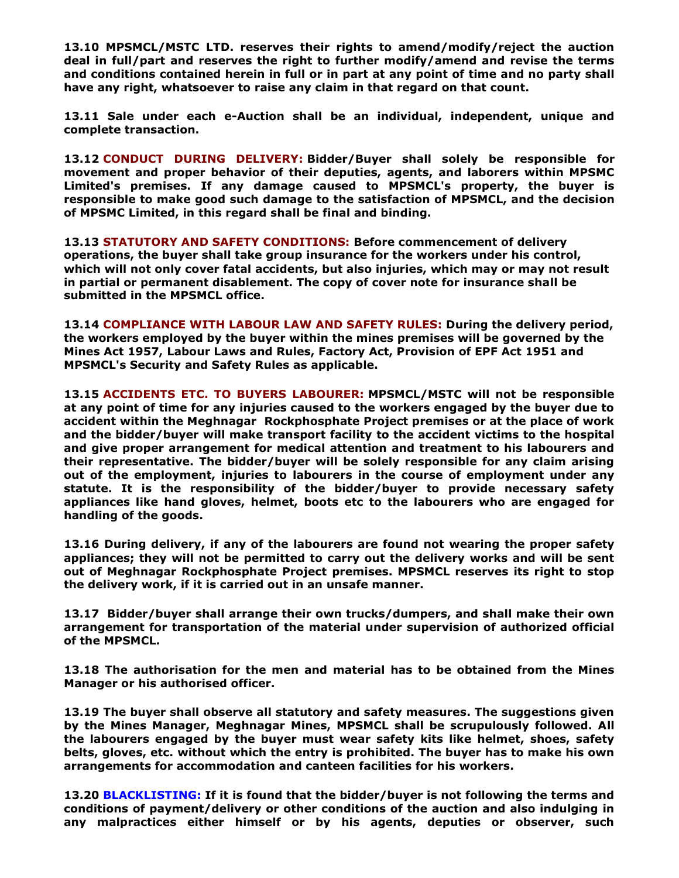**13.10 MPSMCL/MSTC LTD. reserves their rights to amend/modify/reject the auction deal in full/part and reserves the right to further modify/amend and revise the terms and conditions contained herein in full or in part at any point of time and no party shall have any right, whatsoever to raise any claim in that regard on that count.**

**13.11 Sale under each e-Auction shall be an individual, independent, unique and complete transaction.**

**13.12 CONDUCT DURING DELIVERY: Bidder/Buyer shall solely be responsible for movement and proper behavior of their deputies, agents, and laborers within MPSMC Limited's premises. If any damage caused to MPSMCL's property, the buyer is responsible to make good such damage to the satisfaction of MPSMCL, and the decision of MPSMC Limited, in this regard shall be final and binding.** 

**13.13 STATUTORY AND SAFETY CONDITIONS: Before commencement of delivery operations, the buyer shall take group insurance for the workers under his control, which will not only cover fatal accidents, but also injuries, which may or may not result in partial or permanent disablement. The copy of cover note for insurance shall be submitted in the MPSMCL office.**

**13.14 COMPLIANCE WITH LABOUR LAW AND SAFETY RULES: During the delivery period, the workers employed by the buyer within the mines premises will be governed by the Mines Act 1957, Labour Laws and Rules, Factory Act, Provision of EPF Act 1951 and MPSMCL's Security and Safety Rules as applicable.**

**13.15 ACCIDENTS ETC. TO BUYERS LABOURER: MPSMCL/MSTC will not be responsible at any point of time for any injuries caused to the workers engaged by the buyer due to accident within the Meghnagar Rockphosphate Project premises or at the place of work and the bidder/buyer will make transport facility to the accident victims to the hospital and give proper arrangement for medical attention and treatment to his labourers and their representative. The bidder/buyer will be solely responsible for any claim arising out of the employment, injuries to labourers in the course of employment under any statute. It is the responsibility of the bidder/buyer to provide necessary safety appliances like hand gloves, helmet, boots etc to the labourers who are engaged for handling of the goods.**

**13.16 During delivery, if any of the labourers are found not wearing the proper safety appliances; they will not be permitted to carry out the delivery works and will be sent out of Meghnagar Rockphosphate Project premises. MPSMCL reserves its right to stop the delivery work, if it is carried out in an unsafe manner.**

**13.17 Bidder/buyer shall arrange their own trucks/dumpers, and shall make their own arrangement for transportation of the material under supervision of authorized official of the MPSMCL.**

**13.18 The authorisation for the men and material has to be obtained from the Mines Manager or his authorised officer.**

**13.19 The buyer shall observe all statutory and safety measures. The suggestions given by the Mines Manager, Meghnagar Mines, MPSMCL shall be scrupulously followed. All the labourers engaged by the buyer must wear safety kits like helmet, shoes, safety belts, gloves, etc. without which the entry is prohibited. The buyer has to make his own arrangements for accommodation and canteen facilities for his workers.**

**13.20 BLACKLISTING: If it is found that the bidder/buyer is not following the terms and conditions of payment/delivery or other conditions of the auction and also indulging in any malpractices either himself or by his agents, deputies or observer, such**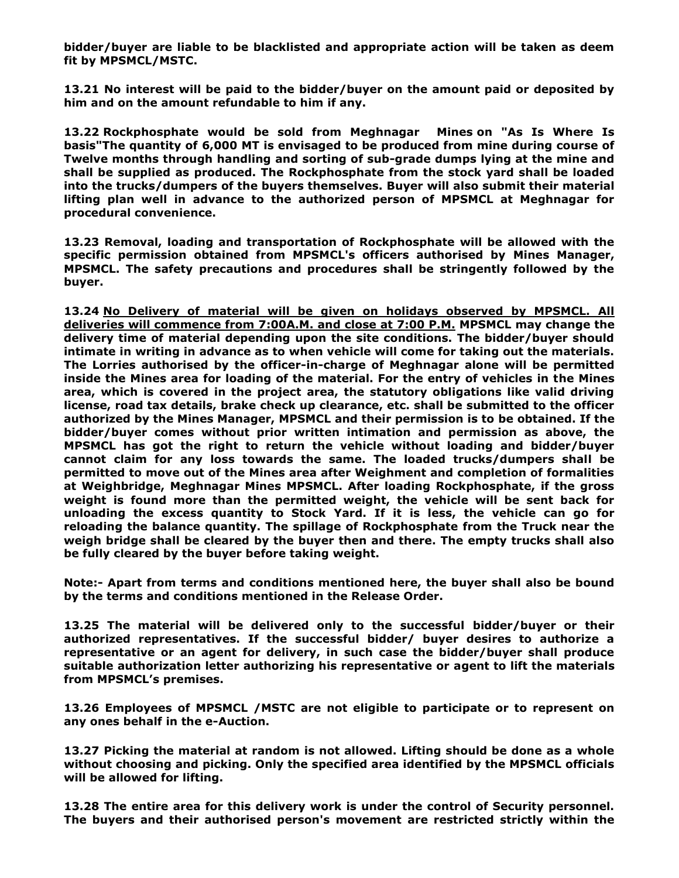**bidder/buyer are liable to be blacklisted and appropriate action will be taken as deem fit by MPSMCL/MSTC.**

**13.21 No interest will be paid to the bidder/buyer on the amount paid or deposited by him and on the amount refundable to him if any.**

**13.22 Rockphosphate would be sold from Meghnagar Mines on "As Is Where Is basis"The quantity of 6,000 MT is envisaged to be produced from mine during course of Twelve months through handling and sorting of sub-grade dumps lying at the mine and shall be supplied as produced. The Rockphosphate from the stock yard shall be loaded into the trucks/dumpers of the buyers themselves. Buyer will also submit their material lifting plan well in advance to the authorized person of MPSMCL at Meghnagar for procedural convenience.**

**13.23 Removal, loading and transportation of Rockphosphate will be allowed with the specific permission obtained from MPSMCL's officers authorised by Mines Manager, MPSMCL. The safety precautions and procedures shall be stringently followed by the buyer.**

**13.24 No Delivery of material will be given on holidays observed by MPSMCL. All deliveries will commence from 7:00A.M. and close at 7:00 P.M. MPSMCL may change the delivery time of material depending upon the site conditions. The bidder/buyer should intimate in writing in advance as to when vehicle will come for taking out the materials. The Lorries authorised by the officer-in-charge of Meghnagar alone will be permitted inside the Mines area for loading of the material. For the entry of vehicles in the Mines area, which is covered in the project area, the statutory obligations like valid driving license, road tax details, brake check up clearance, etc. shall be submitted to the officer authorized by the Mines Manager, MPSMCL and their permission is to be obtained. If the bidder/buyer comes without prior written intimation and permission as above, the MPSMCL has got the right to return the vehicle without loading and bidder/buyer cannot claim for any loss towards the same. The loaded trucks/dumpers shall be permitted to move out of the Mines area after Weighment and completion of formalities at Weighbridge, Meghnagar Mines MPSMCL. After loading Rockphosphate, if the gross weight is found more than the permitted weight, the vehicle will be sent back for unloading the excess quantity to Stock Yard. If it is less, the vehicle can go for reloading the balance quantity. The spillage of Rockphosphate from the Truck near the weigh bridge shall be cleared by the buyer then and there. The empty trucks shall also be fully cleared by the buyer before taking weight.**

**Note:- Apart from terms and conditions mentioned here, the buyer shall also be bound by the terms and conditions mentioned in the Release Order.**

**13.25 The material will be delivered only to the successful bidder/buyer or their authorized representatives. If the successful bidder/ buyer desires to authorize a representative or an agent for delivery, in such case the bidder/buyer shall produce suitable authorization letter authorizing his representative or agent to lift the materials from MPSMCL's premises.**

**13.26 Employees of MPSMCL /MSTC are not eligible to participate or to represent on any ones behalf in the e-Auction.**

**13.27 Picking the material at random is not allowed. Lifting should be done as a whole without choosing and picking. Only the specified area identified by the MPSMCL officials will be allowed for lifting.**

**13.28 The entire area for this delivery work is under the control of Security personnel. The buyers and their authorised person's movement are restricted strictly within the**